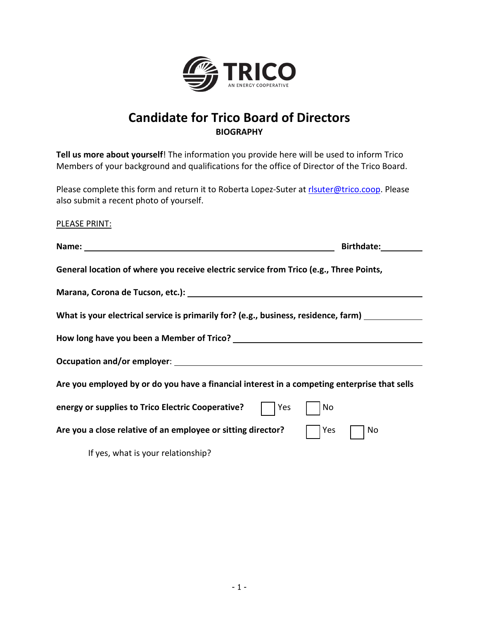

## **Candidate for Trico Board of Directors BIOGRAPHY**

**Tell us more about yourself**! The information you provide here will be used to inform Trico Members of your background and qualifications for the office of Director of the Trico Board.

Please complete this form and return it to Roberta Lopez-Suter at risuter@trico.coop. Please also submit a recent photo of yourself.

PLEASE PRINT:

| Name: Name: Name: Name: Name: Name: Name: Name: Name: Name: Name: Name: Name: Name: Name: Name: Name: Name: Name: Name: Name: Name: Name: Name: Name: Name: Name: Name: Name: Name: Name: Name: Name: Name: Name: Name: Name: | Birthdate: |
|-------------------------------------------------------------------------------------------------------------------------------------------------------------------------------------------------------------------------------|------------|
| General location of where you receive electric service from Trico (e.g., Three Points,                                                                                                                                        |            |
|                                                                                                                                                                                                                               |            |
| What is your electrical service is primarily for? (e.g., business, residence, farm) _______________                                                                                                                           |            |
|                                                                                                                                                                                                                               |            |
|                                                                                                                                                                                                                               |            |
| Are you employed by or do you have a financial interest in a competing enterprise that sells                                                                                                                                  |            |
| energy or supplies to Trico Electric Cooperative?<br>Yes                                                                                                                                                                      | No         |
| Are you a close relative of an employee or sitting director?                                                                                                                                                                  | Yes<br>No  |
| If yes, what is your relationship?                                                                                                                                                                                            |            |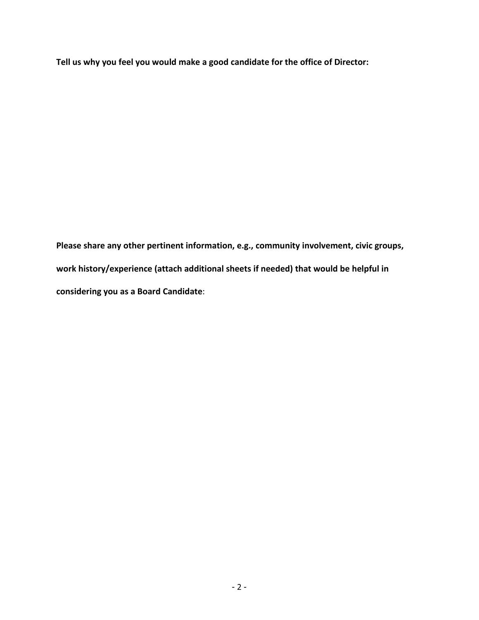**Tell us why you feel you would make a good candidate for the office of Director:** 

**Please share any other pertinent information, e.g., community involvement, civic groups, work history/experience (attach additional sheets if needed) that would be helpful in considering you as a Board Candidate**: